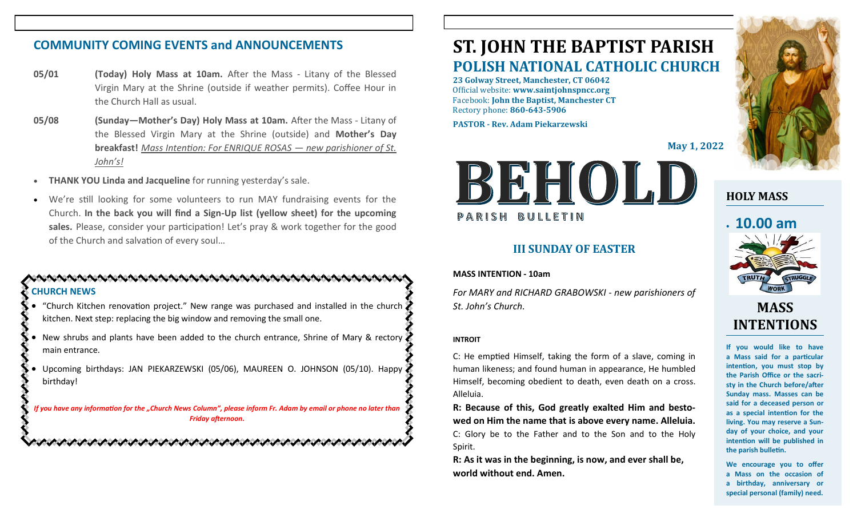# **COMMUNITY COMING EVENTS and ANNOUNCEMENTS**

- **05/01 (Today) Holy Mass at 10am.** After the Mass Litany of the Blessed Virgin Mary at the Shrine (outside if weather permits). Coffee Hour in the Church Hall as usual.
- **05/08 (Sunday—Mother's Day) Holy Mass at 10am.** After the Mass Litany of the Blessed Virgin Mary at the Shrine (outside) and **Mother's Day breakfast!** *Mass Intention: For ENRIQUE ROSAS — new parishioner of St. John's!*
- **THANK YOU Linda and Jacqueline** for running yesterday's sale.
- We're still looking for some volunteers to run MAY fundraising events for the Church. **In the back you will find a Sign-Up list (yellow sheet) for the upcoming sales.** Please, consider your participation! Let's pray & work together for the good of the Church and salvation of every soul…

## **CHURCH NEWS**

• "Church Kitchen renovation project." New range was purchased and installed in the church kitchen. Next step: replacing the big window and removing the small one.

• New shrubs and plants have been added to the church entrance, Shrine of Mary & rectory main entrance.

• Upcoming birthdays: JAN PIEKARZEWSKI (05/06), MAUREEN O. JOHNSON (05/10). Happy birthday!

*If you have any information for the "Church News Column", please inform Fr. Adam by email or phone no later than Friday afternoon.*

# **ST. JOHN THE BAPTIST PARISH POLISH NATIONAL CATHOLIC CHURCH**

**23 Golway Street, Manchester, CT 06042** Official website: **www.saintjohnspncc.org** Facebook: **John the Baptist, Manchester CT** Rectory phone: **860-643-5906** 

**PASTOR - Rev. Adam Piekarzewski**

**May 1, 2022**



## **III SUNDAY OF EASTER**

#### **MASS INTENTION - 10am**

*For MARY and RICHARD GRABOWSKI - new parishioners of St. John's Church.*

#### **INTROIT**

C: He emptied Himself, taking the form of a slave, coming in human likeness; and found human in appearance, He humbled Himself, becoming obedient to death, even death on a cross. Alleluia.

**R: Because of this, God greatly exalted Him and bestowed on Him the name that is above every name. Alleluia.** C: Glory be to the Father and to the Son and to the Holy Spirit.

**R: As it was in the beginning, is now, and ever shall be, world without end. Amen.**



# **HOLY MASS**

# • **10.00 am**



# **MASS INTENTIONS**

**If you would like to have a Mass said for a particular intention, you must stop by the Parish Office or the sacristy in the Church before/after Sunday mass. Masses can be said for a deceased person or as a special intention for the living. You may reserve a Sunday of your choice, and your intention will be published in the parish bulletin.**

**We encourage you to offer a Mass on the occasion of a birthday, anniversary or special personal (family) need.**